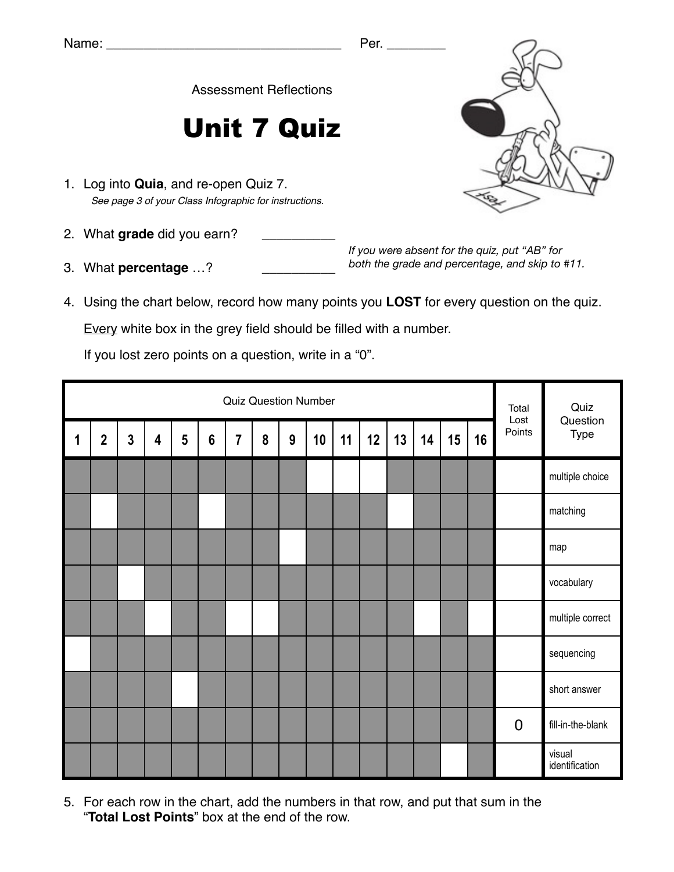Assessment Reflections

## Unit 7 Quiz

- 1. Log into **Quia**, and re-open Quiz 7. *See page 3 of your Class Infographic for instructions.*
- 2. What grade did you earn?
- 3. What **percentage** ...?

*If you were absent for the quiz, put "AB" for both the grade and percentage, and skip to #11.*

4. Using the chart below, record how many points you **LOST** for every question on the quiz.

Every white box in the grey field should be filled with a number.

If you lost zero points on a question, write in a "0".

|   | <b>Quiz Question Number</b> |              |                         |                 |                 |   |   |   |    |    |    |    |    |    |    | Total<br>Lost  | Quiz                     |
|---|-----------------------------|--------------|-------------------------|-----------------|-----------------|---|---|---|----|----|----|----|----|----|----|----------------|--------------------------|
| 1 | $\mathbf{2}$                | $\mathbf{3}$ | $\overline{\mathbf{4}}$ | $5\phantom{.0}$ | $6\phantom{1}6$ | 7 | 8 | 9 | 10 | 11 | 12 | 13 | 14 | 15 | 16 | Points         | Question<br>Type         |
|   |                             |              |                         |                 |                 |   |   |   |    |    |    |    |    |    |    |                | multiple choice          |
|   |                             |              |                         |                 |                 |   |   |   |    |    |    |    |    |    |    |                | matching                 |
|   |                             |              |                         |                 |                 |   |   |   |    |    |    |    |    |    |    |                | map                      |
|   |                             |              |                         |                 |                 |   |   |   |    |    |    |    |    |    |    |                | vocabulary               |
|   |                             |              |                         |                 |                 |   |   |   |    |    |    |    |    |    |    |                | multiple correct         |
|   |                             |              |                         |                 |                 |   |   |   |    |    |    |    |    |    |    |                | sequencing               |
|   |                             |              |                         |                 |                 |   |   |   |    |    |    |    |    |    |    |                | short answer             |
|   |                             |              |                         |                 |                 |   |   |   |    |    |    |    |    |    |    | $\overline{0}$ | fill-in-the-blank        |
|   |                             |              |                         |                 |                 |   |   |   |    |    |    |    |    |    |    |                | visual<br>identification |

5. For each row in the chart, add the numbers in that row, and put that sum in the "**Total Lost Points**" box at the end of the row.